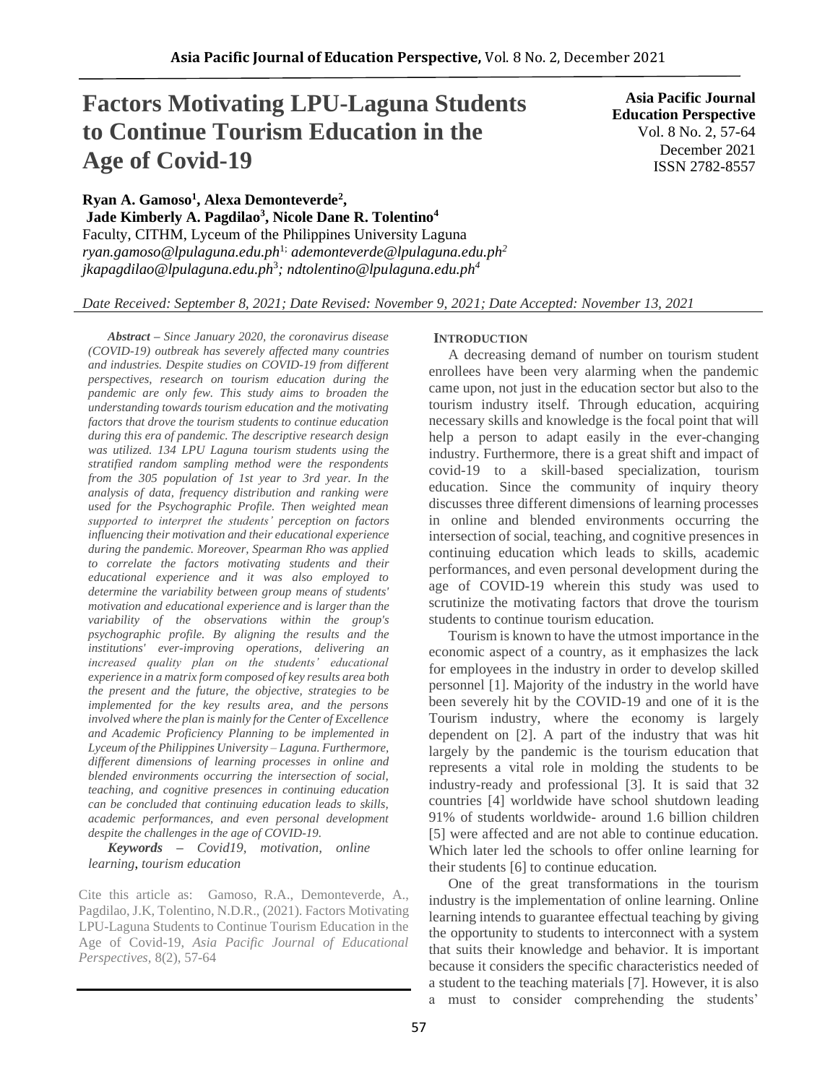# **Factors Motivating LPU-Laguna Students to Continue Tourism Education in the Age of Covid-19**

**Asia Pacific Journal Education Perspective** Vol. 8 No. 2, 57-64 December 2021 ISSN 2782-8557

**Ryan A. Gamoso<sup>1</sup> , Alexa Demonteverde<sup>2</sup> ,**

**Jade Kimberly A. Pagdilao<sup>3</sup> , Nicole Dane R. Tolentino<sup>4</sup>** Faculty, CITHM, Lyceum of the Philippines University Laguna *ryan.gamoso@lpulaguna.edu.ph*1; *ademonteverde@lpulaguna.edu.ph<sup>2</sup> jkapagdilao@lpulaguna.edu.ph*<sup>3</sup> *; ndtolentino@lpulaguna.edu.ph<sup>4</sup>*

## *Date Received: September 8, 2021; Date Revised: November 9, 2021; Date Accepted: November 13, 2021*

*Abstract – Since January 2020, the coronavirus disease (COVID-19) outbreak has severely affected many countries and industries. Despite studies on COVID-19 from different perspectives, research on tourism education during the pandemic are only few. This study aims to broaden the understanding towards tourism education and the motivating factors that drove the tourism students to continue education during this era of pandemic. The descriptive research design was utilized. 134 LPU Laguna tourism students using the stratified random sampling method were the respondents from the 305 population of 1st year to 3rd year. In the analysis of data, frequency distribution and ranking were used for the Psychographic Profile. Then weighted mean supported to interpret the students' perception on factors influencing their motivation and their educational experience during the pandemic. Moreover, Spearman Rho was applied to correlate the factors motivating students and their educational experience and it was also employed to determine the variability between group means of students' motivation and educational experience and is larger than the variability of the observations within the group's psychographic profile. By aligning the results and the institutions' ever-improving operations, delivering an increased quality plan on the students' educational experience in a matrix form composed of key results area both the present and the future, the objective, strategies to be implemented for the key results area, and the persons involved where the plan is mainly for the Center of Excellence and Academic Proficiency Planning to be implemented in Lyceum of the Philippines University – Laguna. Furthermore, different dimensions of learning processes in online and blended environments occurring the intersection of social, teaching, and cognitive presences in continuing education can be concluded that continuing education leads to skills, academic performances, and even personal development despite the challenges in the age of COVID-19.* 

*Keywords – Covid19, motivation, online learning*, *tourism education*

Cite this article as: Gamoso, R.A., Demonteverde, A., Pagdilao, J.K, Tolentino, N.D.R., (2021). Factors Motivating LPU-Laguna Students to Continue Tourism Education in the Age of Covid-19, *Asia Pacific Journal of Educational Perspectives,* 8(2), 57-64

### **INTRODUCTION**

A decreasing demand of number on tourism student enrollees have been very alarming when the pandemic came upon, not just in the education sector but also to the tourism industry itself. Through education, acquiring necessary skills and knowledge is the focal point that will help a person to adapt easily in the ever-changing industry. Furthermore, there is a great shift and impact of covid-19 to a skill-based specialization, tourism education. Since the community of inquiry theory discusses three different dimensions of learning processes in online and blended environments occurring the intersection of social, teaching, and cognitive presences in continuing education which leads to skills, academic performances, and even personal development during the age of COVID-19 wherein this study was used to scrutinize the motivating factors that drove the tourism students to continue tourism education.

Tourism is known to have the utmost importance in the economic aspect of a country, as it emphasizes the lack for employees in the industry in order to develop skilled personnel [1]. Majority of the industry in the world have been severely hit by the COVID-19 and one of it is the Tourism industry, where the economy is largely dependent on [2]. A part of the industry that was hit largely by the pandemic is the tourism education that represents a vital role in molding the students to be industry-ready and professional [3]. It is said that 32 countries [4] worldwide have school shutdown leading 91% of students worldwide- around 1.6 billion children [5] were affected and are not able to continue education. Which later led the schools to offer online learning for their students [6] to continue education.

One of the great transformations in the tourism industry is the implementation of online learning. Online learning intends to guarantee effectual teaching by giving the opportunity to students to interconnect with a system that suits their knowledge and behavior. It is important because it considers the specific characteristics needed of a student to the teaching materials [7]. However, it is also a must to consider comprehending the students'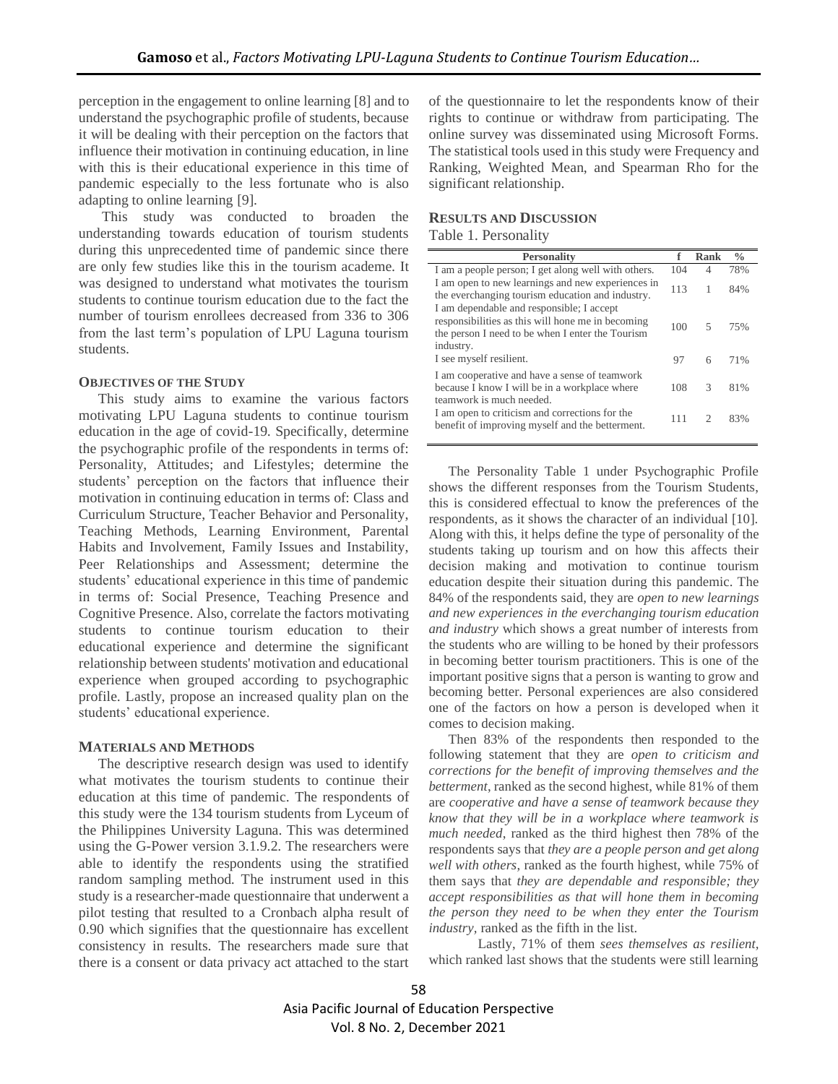perception in the engagement to online learning [8] and to understand the psychographic profile of students, because it will be dealing with their perception on the factors that influence their motivation in continuing education, in line with this is their educational experience in this time of pandemic especially to the less fortunate who is also adapting to online learning [9].

This study was conducted to broaden the understanding towards education of tourism students during this unprecedented time of pandemic since there are only few studies like this in the tourism academe. It was designed to understand what motivates the tourism students to continue tourism education due to the fact the number of tourism enrollees decreased from 336 to 306 from the last term's population of LPU Laguna tourism students.

### **OBJECTIVES OF THE STUDY**

This study aims to examine the various factors motivating LPU Laguna students to continue tourism education in the age of covid-19. Specifically, determine the psychographic profile of the respondents in terms of: Personality, Attitudes; and Lifestyles; determine the students' perception on the factors that influence their motivation in continuing education in terms of: Class and Curriculum Structure, Teacher Behavior and Personality, Teaching Methods, Learning Environment, Parental Habits and Involvement, Family Issues and Instability, Peer Relationships and Assessment; determine the students' educational experience in this time of pandemic in terms of: Social Presence, Teaching Presence and Cognitive Presence. Also, correlate the factors motivating students to continue tourism education to their educational experience and determine the significant relationship between students' motivation and educational experience when grouped according to psychographic profile. Lastly, propose an increased quality plan on the students' educational experience.

### **MATERIALS AND METHODS**

The descriptive research design was used to identify what motivates the tourism students to continue their education at this time of pandemic. The respondents of this study were the 134 tourism students from Lyceum of the Philippines University Laguna. This was determined using the G-Power version 3.1.9.2. The researchers were able to identify the respondents using the stratified random sampling method. The instrument used in this study is a researcher-made questionnaire that underwent a pilot testing that resulted to a Cronbach alpha result of 0.90 which signifies that the questionnaire has excellent consistency in results. The researchers made sure that there is a consent or data privacy act attached to the start

of the questionnaire to let the respondents know of their rights to continue or withdraw from participating. The online survey was disseminated using Microsoft Forms. The statistical tools used in this study were Frequency and Ranking, Weighted Mean, and Spearman Rho for the significant relationship.

## **RESULTS AND DISCUSSION**

Table 1. Personality

| <b>Personality</b>                                                                                                                                              |     | Rank          | $\frac{0}{0}$ |
|-----------------------------------------------------------------------------------------------------------------------------------------------------------------|-----|---------------|---------------|
| I am a people person; I get along well with others.                                                                                                             | 104 | 4             | 78%           |
| I am open to new learnings and new experiences in<br>the everchanging tourism education and industry.                                                           | 113 | 1             | 84%           |
| I am dependable and responsible; I accept<br>responsibilities as this will hone me in becoming<br>the person I need to be when I enter the Tourism<br>industry. | 100 | 5             | 75%           |
| I see myself resilient.                                                                                                                                         | 97  | 6             | 71%           |
| I am cooperative and have a sense of teamwork<br>because I know I will be in a workplace where<br>teamwork is much needed.                                      | 108 | $\mathcal{R}$ | 81%           |
| I am open to criticism and corrections for the<br>benefit of improving myself and the betterment.                                                               | 111 | っ             | 83%           |

The Personality Table 1 under Psychographic Profile shows the different responses from the Tourism Students, this is considered effectual to know the preferences of the respondents, as it shows the character of an individual [10]. Along with this, it helps define the type of personality of the students taking up tourism and on how this affects their decision making and motivation to continue tourism education despite their situation during this pandemic. The 84% of the respondents said, they are *open to new learnings and new experiences in the everchanging tourism education and industry* which shows a great number of interests from the students who are willing to be honed by their professors in becoming better tourism practitioners. This is one of the important positive signs that a person is wanting to grow and becoming better. Personal experiences are also considered one of the factors on how a person is developed when it comes to decision making.

Then 83% of the respondents then responded to the following statement that they are *open to criticism and corrections for the benefit of improving themselves and the betterment*, ranked as the second highest, while 81% of them are *cooperative and have a sense of teamwork because they know that they will be in a workplace where teamwork is much needed*, ranked as the third highest then 78% of the respondents says that *they are a people person and get along well with others*, ranked as the fourth highest, while 75% of them says that *they are dependable and responsible; they accept responsibilities as that will hone them in becoming the person they need to be when they enter the Tourism industry,* ranked as the fifth in the list.

Lastly, 71% of them *sees themselves as resilient,*  which ranked last shows that the students were still learning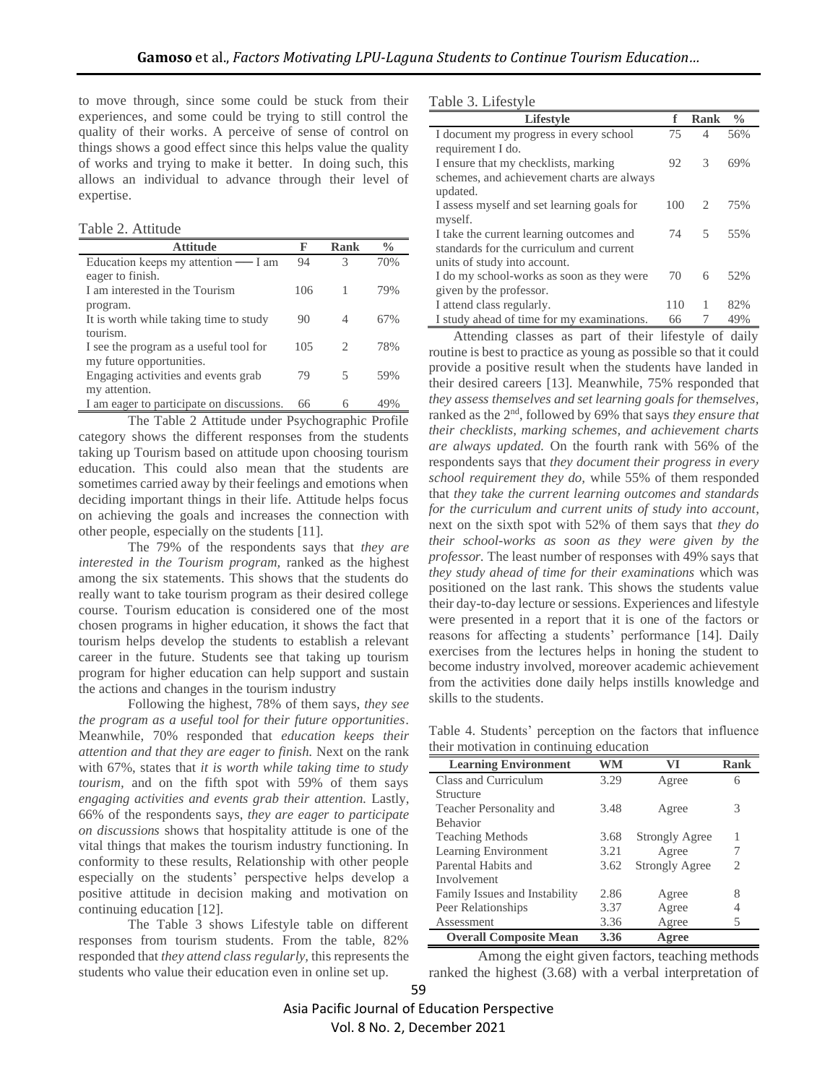to move through, since some could be stuck from their experiences, and some could be trying to still control the quality of their works. A perceive of sense of control on things shows a good effect since this helps value the quality of works and trying to make it better. In doing such, this allows an individual to advance through their level of expertise.

Table 2. Attitude

| <b>Attitude</b>                           | F   | Rank                   | $\frac{0}{0}$ |
|-------------------------------------------|-----|------------------------|---------------|
| Education keeps my attention — I am       | 94  | 3                      | 70%           |
| eager to finish.                          |     |                        |               |
| I am interested in the Tourism            | 106 |                        | 79%           |
| program.                                  |     |                        |               |
| It is worth while taking time to study    | 90  | 4                      | 67%           |
| tourism.                                  |     |                        |               |
| I see the program as a useful tool for    | 105 | $\mathfrak{D}_{\cdot}$ | 78%           |
| my future opportunities.                  |     |                        |               |
| Engaging activities and events grab       | 79  | 5                      | 59%           |
| my attention.                             |     |                        |               |
| I am eager to participate on discussions. | 66  |                        | 49%           |

The Table 2 Attitude under Psychographic Profile category shows the different responses from the students taking up Tourism based on attitude upon choosing tourism education. This could also mean that the students are sometimes carried away by their feelings and emotions when deciding important things in their life. Attitude helps focus on achieving the goals and increases the connection with other people, especially on the students [11].

The 79% of the respondents says that *they are interested in the Tourism program,* ranked as the highest among the six statements. This shows that the students do really want to take tourism program as their desired college course. Tourism education is considered one of the most chosen programs in higher education, it shows the fact that tourism helps develop the students to establish a relevant career in the future. Students see that taking up tourism program for higher education can help support and sustain the actions and changes in the tourism industry

Following the highest, 78% of them says, *they see the program as a useful tool for their future opportunities*. Meanwhile, 70% responded that *education keeps their attention and that they are eager to finish.* Next on the rank with 67%, states that *it is worth while taking time to study tourism,* and on the fifth spot with 59% of them says *engaging activities and events grab their attention.* Lastly, 66% of the respondents says, *they are eager to participate on discussions* shows that hospitality attitude is one of the vital things that makes the tourism industry functioning. In conformity to these results, Relationship with other people especially on the students' perspective helps develop a positive attitude in decision making and motivation on continuing education [12].

The Table 3 shows Lifestyle table on different responses from tourism students. From the table, 82% responded that *they attend class regularly,* this represents the students who value their education even in online set up.

Table 3. Lifestyle

| <b>Lifestyle</b>                           | f   | <b>Rank</b>   | $\frac{0}{0}$ |
|--------------------------------------------|-----|---------------|---------------|
| I document my progress in every school     | 75  | 4             | 56%           |
| requirement I do.                          |     |               |               |
| I ensure that my checklists, marking       | 92  | $\mathcal{R}$ | 69%           |
| schemes, and achievement charts are always |     |               |               |
| updated.                                   |     |               |               |
| I assess myself and set learning goals for | 100 | 2             | 75%           |
| myself.                                    |     |               |               |
| I take the current learning outcomes and   | 74  | 5             | 55%           |
| standards for the curriculum and current   |     |               |               |
| units of study into account.               |     |               |               |
| I do my school-works as soon as they were  | 70  | 6             | 52%           |
| given by the professor.                    |     |               |               |
| I attend class regularly.                  | 110 | 1             | 82%           |
| I study ahead of time for my examinations. | 66  | 7             | 49%           |

Attending classes as part of their lifestyle of daily routine is best to practice as young as possible so that it could provide a positive result when the students have landed in their desired careers [13]. Meanwhile, 75% responded that *they assess themselves and set learning goals for themselves,*  ranked as the 2nd, followed by 69% that says *they ensure that their checklists, marking schemes, and achievement charts are always updated.* On the fourth rank with 56% of the respondents says that *they document their progress in every school requirement they do,* while 55% of them responded that *they take the current learning outcomes and standards for the curriculum and current units of study into account*, next on the sixth spot with 52% of them says that *they do their school-works as soon as they were given by the professor.* The least number of responses with 49% says that *they study ahead of time for their examinations* which was positioned on the last rank. This shows the students value their day-to-day lecture or sessions. Experiences and lifestyle were presented in a report that it is one of the factors or reasons for affecting a students' performance [14]. Daily exercises from the lectures helps in honing the student to become industry involved, moreover academic achievement from the activities done daily helps instills knowledge and skills to the students.

Table 4. Students' perception on the factors that influence their motivation in continuing education

| <b>Learning Environment</b>   | WM   | VI                    | Rank |
|-------------------------------|------|-----------------------|------|
| Class and Curriculum          | 3.29 | Agree                 | 6    |
| Structure                     |      |                       |      |
| Teacher Personality and       | 3.48 | Agree                 | 3    |
| <b>Behavior</b>               |      |                       |      |
| <b>Teaching Methods</b>       | 3.68 | <b>Strongly Agree</b> | 1    |
| Learning Environment          | 3.21 | Agree                 |      |
| Parental Habits and           | 3.62 | <b>Strongly Agree</b> | 2    |
| Involvement                   |      |                       |      |
| Family Issues and Instability | 2.86 | Agree                 | 8    |
| Peer Relationships            | 3.37 | Agree                 |      |
| Assessment                    | 3.36 | Agree                 | 5    |
| <b>Overall Composite Mean</b> | 3.36 | Agree                 |      |

Among the eight given factors, teaching methods ranked the highest (3.68) with a verbal interpretation of

59 Asia Pacific Journal of Education Perspective Vol. 8 No. 2, December 2021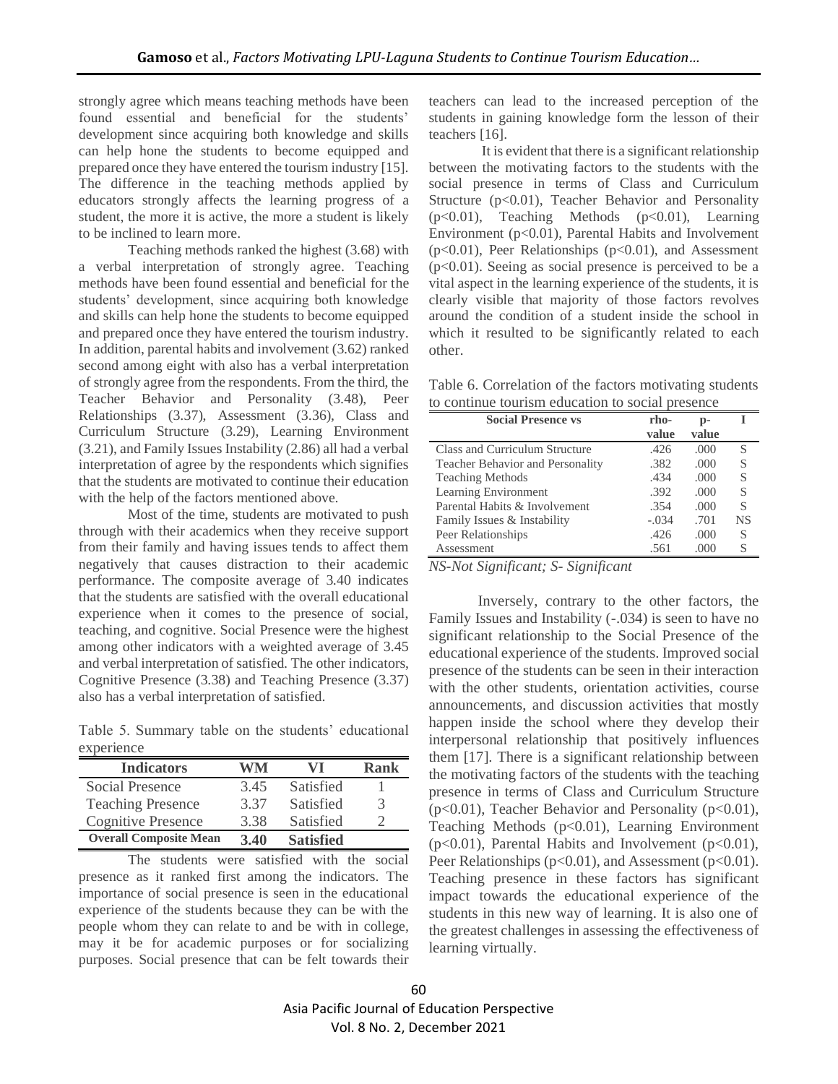strongly agree which means teaching methods have been found essential and beneficial for the students' development since acquiring both knowledge and skills can help hone the students to become equipped and prepared once they have entered the tourism industry [15]. The difference in the teaching methods applied by educators strongly affects the learning progress of a student, the more it is active, the more a student is likely to be inclined to learn more.

Teaching methods ranked the highest (3.68) with a verbal interpretation of strongly agree. Teaching methods have been found essential and beneficial for the students' development, since acquiring both knowledge and skills can help hone the students to become equipped and prepared once they have entered the tourism industry. In addition, parental habits and involvement (3.62) ranked second among eight with also has a verbal interpretation of strongly agree from the respondents. From the third, the Teacher Behavior and Personality (3.48), Peer Relationships (3.37), Assessment (3.36), Class and Curriculum Structure (3.29), Learning Environment (3.21), and Family Issues Instability (2.86) all had a verbal interpretation of agree by the respondents which signifies that the students are motivated to continue their education with the help of the factors mentioned above.

Most of the time, students are motivated to push through with their academics when they receive support from their family and having issues tends to affect them negatively that causes distraction to their academic performance. The composite average of 3.40 indicates that the students are satisfied with the overall educational experience when it comes to the presence of social, teaching, and cognitive. Social Presence were the highest among other indicators with a weighted average of 3.45 and verbal interpretation of satisfied. The other indicators, Cognitive Presence (3.38) and Teaching Presence (3.37) also has a verbal interpretation of satisfied.

Table 5. Summary table on the students' educational experience

| <b>Indicators</b>             | WM   | VI               | Rank |
|-------------------------------|------|------------------|------|
| Social Presence               | 3.45 | Satisfied        |      |
| <b>Teaching Presence</b>      | 3.37 | Satisfied        | 3    |
| <b>Cognitive Presence</b>     | 3.38 | Satisfied        |      |
| <b>Overall Composite Mean</b> | 3.40 | <b>Satisfied</b> |      |

The students were satisfied with the social presence as it ranked first among the indicators. The importance of social presence is seen in the educational experience of the students because they can be with the people whom they can relate to and be with in college, may it be for academic purposes or for socializing purposes. Social presence that can be felt towards their

teachers can lead to the increased perception of the students in gaining knowledge form the lesson of their teachers [16].

It is evident that there is a significant relationship between the motivating factors to the students with the social presence in terms of Class and Curriculum Structure (p<0.01), Teacher Behavior and Personality (p<0.01), Teaching Methods (p<0.01), Learning Environment (p<0.01), Parental Habits and Involvement  $(p<0.01)$ , Peer Relationships  $(p<0.01)$ , and Assessment  $(p<0.01)$ . Seeing as social presence is perceived to be a vital aspect in the learning experience of the students, it is clearly visible that majority of those factors revolves around the condition of a student inside the school in which it resulted to be significantly related to each other.

Table 6. Correlation of the factors motivating students to continue tourism education to social presence

| <b>Social Presence vs</b>        | rho-<br>value | $p-$<br>value |           |
|----------------------------------|---------------|---------------|-----------|
| Class and Curriculum Structure   | .426          | .000          | S         |
| Teacher Behavior and Personality | .382          | .000          | S         |
| <b>Teaching Methods</b>          | .434          | .000          | S         |
| Learning Environment             | .392          | .000          | S         |
| Parental Habits & Involvement    | .354          | .000          | S         |
| Family Issues & Instability      | $-.034$       | .701          | <b>NS</b> |
| Peer Relationships               | .426          | .000          | S         |
| Assessment                       | .561          | .000          | S         |

*NS-Not Significant; S- Significant*

Inversely, contrary to the other factors, the Family Issues and Instability (-.034) is seen to have no significant relationship to the Social Presence of the educational experience of the students. Improved social presence of the students can be seen in their interaction with the other students, orientation activities, course announcements, and discussion activities that mostly happen inside the school where they develop their interpersonal relationship that positively influences them [17]. There is a significant relationship between the motivating factors of the students with the teaching presence in terms of Class and Curriculum Structure ( $p<0.01$ ), Teacher Behavior and Personality ( $p<0.01$ ), Teaching Methods (p<0.01), Learning Environment  $(p<0.01)$ , Parental Habits and Involvement  $(p<0.01)$ , Peer Relationships (p<0.01), and Assessment (p<0.01). Teaching presence in these factors has significant impact towards the educational experience of the students in this new way of learning. It is also one of the greatest challenges in assessing the effectiveness of learning virtually.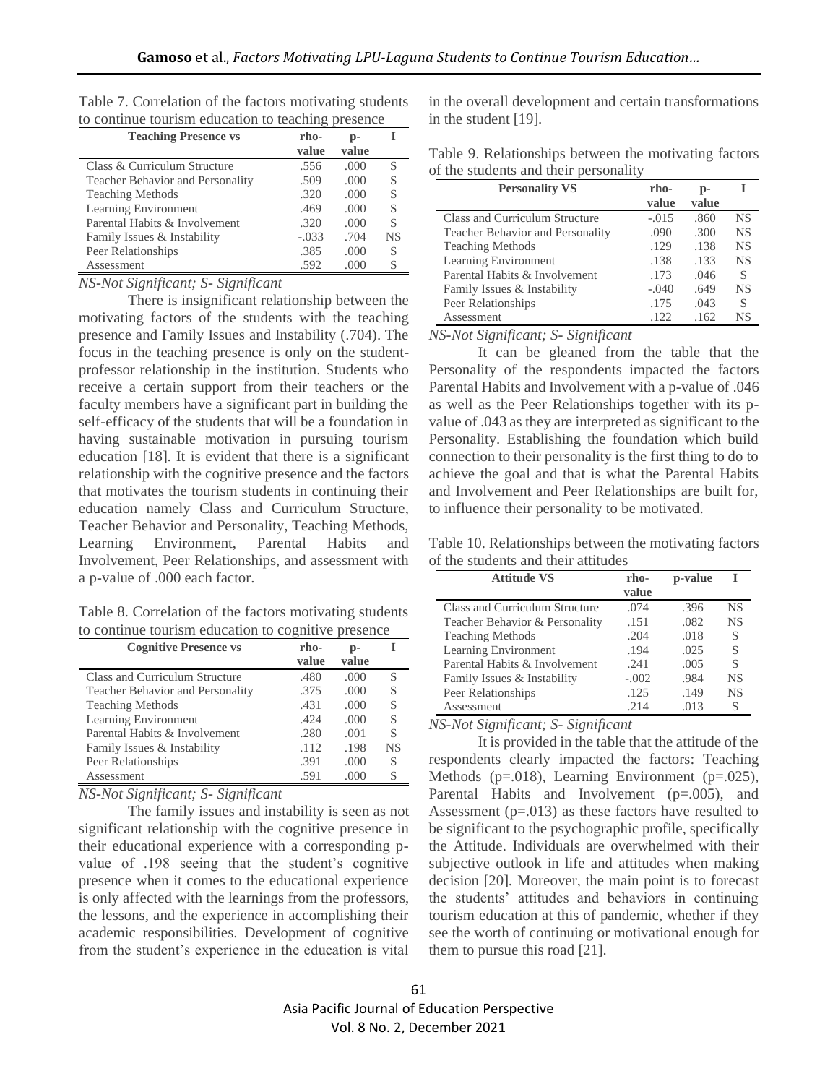| <b>Teaching Presence vs</b>             | rho-<br>value | p-<br>value |           |
|-----------------------------------------|---------------|-------------|-----------|
| Class & Curriculum Structure            | .556          | .000        | S         |
| <b>Teacher Behavior and Personality</b> | .509          | .000        | S         |
| <b>Teaching Methods</b>                 | .320          | .000        | S         |
| Learning Environment                    | .469          | .000        | S         |
| Parental Habits & Involvement           | .320          | .000        | S         |
| Family Issues & Instability             | $-.033$       | .704        | <b>NS</b> |
| Peer Relationships                      | .385          | .000        | S         |
| Assessment                              | .592          | .000        | S         |

Table 7. Correlation of the factors motivating students to continue tourism education to teaching presence

*NS-Not Significant; S- Significant*

There is insignificant relationship between the motivating factors of the students with the teaching presence and Family Issues and Instability (.704). The focus in the teaching presence is only on the studentprofessor relationship in the institution. Students who receive a certain support from their teachers or the faculty members have a significant part in building the self-efficacy of the students that will be a foundation in having sustainable motivation in pursuing tourism education [18]. It is evident that there is a significant relationship with the cognitive presence and the factors that motivates the tourism students in continuing their education namely Class and Curriculum Structure, Teacher Behavior and Personality, Teaching Methods, Learning Environment, Parental Habits and Involvement, Peer Relationships, and assessment with a p-value of .000 each factor.

Table 8. Correlation of the factors motivating students to continue tourism education to cognitive presence

| <b>Cognitive Presence vs</b>     | rho-  | $p-$      |    |
|----------------------------------|-------|-----------|----|
|                                  | value | value     |    |
| Class and Curriculum Structure   | .480  | .000      | S  |
| Teacher Behavior and Personality | .375  | .000      | S  |
| <b>Teaching Methods</b>          | .431  | .000      | S  |
| Learning Environment             | .424  | .000      | S  |
| Parental Habits & Involvement    | .280  | .001      | S  |
| Family Issues & Instability      | .112  | .198      | NS |
| Peer Relationships               | .391  | .000      | S  |
| Assessment                       | .591  | (1)(1)(1) |    |

*NS-Not Significant; S- Significant*

The family issues and instability is seen as not significant relationship with the cognitive presence in their educational experience with a corresponding pvalue of .198 seeing that the student's cognitive presence when it comes to the educational experience is only affected with the learnings from the professors, the lessons, and the experience in accomplishing their academic responsibilities. Development of cognitive from the student's experience in the education is vital

in the overall development and certain transformations in the student [19].

Table 9. Relationships between the motivating factors of the students and their personality

| <b>Personality VS</b>            | rho-    | $p-$  |           |
|----------------------------------|---------|-------|-----------|
|                                  | value   | value |           |
| Class and Curriculum Structure   | $-.015$ | .860  | <b>NS</b> |
| Teacher Behavior and Personality | .090    | .300  | <b>NS</b> |
| <b>Teaching Methods</b>          | .129    | .138  | <b>NS</b> |
| Learning Environment             | .138    | .133  | NS.       |
| Parental Habits & Involvement    | .173    | .046  | S         |
| Family Issues & Instability      | $-.040$ | .649  | NS        |
| Peer Relationships               | .175    | .043  | S         |
| Assessment                       | .122.   | .162  | NS        |

*NS-Not Significant; S- Significant*

It can be gleaned from the table that the Personality of the respondents impacted the factors Parental Habits and Involvement with a p-value of .046 as well as the Peer Relationships together with its pvalue of .043 as they are interpreted as significant to the Personality. Establishing the foundation which build connection to their personality is the first thing to do to achieve the goal and that is what the Parental Habits and Involvement and Peer Relationships are built for, to influence their personality to be motivated.

Table 10. Relationships between the motivating factors of the students and their attitudes

| <b>Attitude VS</b>             | rho-    | p-value |           |
|--------------------------------|---------|---------|-----------|
|                                | value   |         |           |
| Class and Curriculum Structure | .074    | .396    | <b>NS</b> |
| Teacher Behavior & Personality | .151    | .082    | NS.       |
| <b>Teaching Methods</b>        | .204    | .018    | S         |
| Learning Environment           | .194    | .025    | S         |
| Parental Habits & Involvement  | .241    | .005    | S         |
| Family Issues & Instability    | $-.002$ | .984    | <b>NS</b> |
| Peer Relationships             | .125    | .149    | <b>NS</b> |
| Assessment                     | .214    | .013    | S         |

*NS-Not Significant; S- Significant*

It is provided in the table that the attitude of the respondents clearly impacted the factors: Teaching Methods (p=.018), Learning Environment (p=.025), Parental Habits and Involvement (p=.005), and Assessment  $(p=.013)$  as these factors have resulted to be significant to the psychographic profile, specifically the Attitude. Individuals are overwhelmed with their subjective outlook in life and attitudes when making decision [20]. Moreover, the main point is to forecast the students' attitudes and behaviors in continuing tourism education at this of pandemic, whether if they see the worth of continuing or motivational enough for them to pursue this road [21].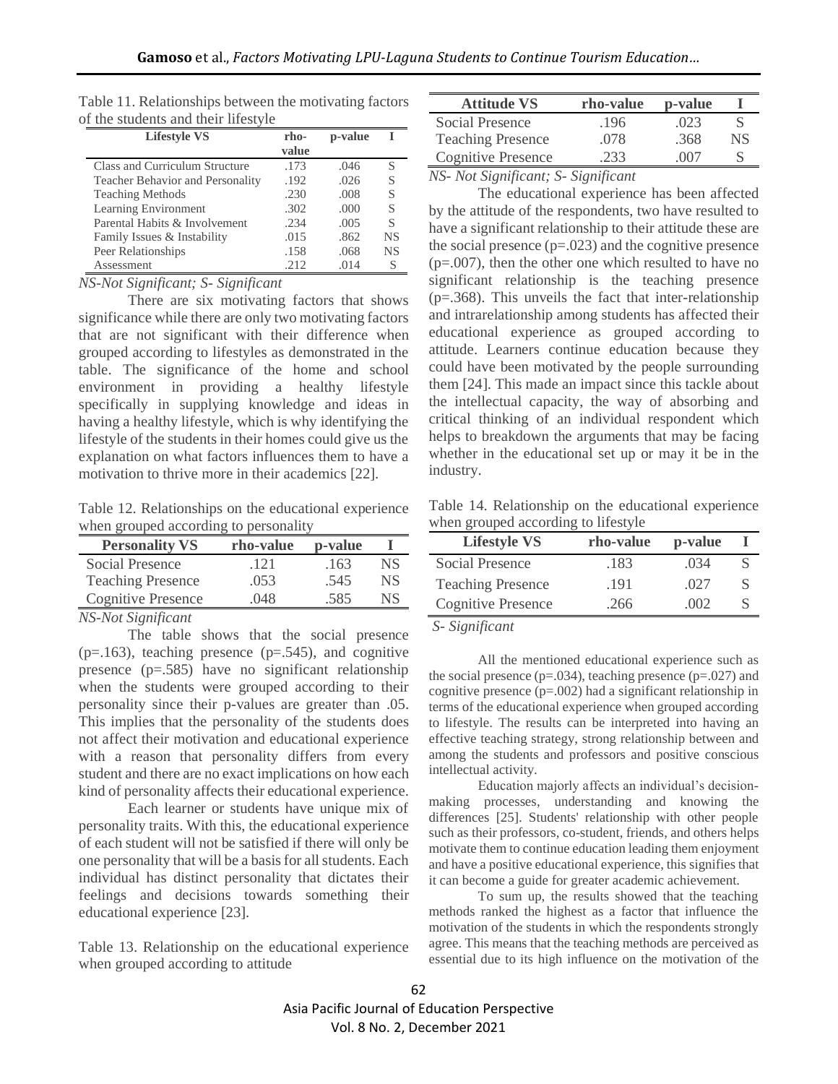| A the students and their mestyle |               |         |           |
|----------------------------------|---------------|---------|-----------|
| <b>Lifestyle VS</b>              | rho-<br>value | p-value |           |
| Class and Curriculum Structure   | .173          | .046    | S         |
| Teacher Behavior and Personality | .192          | .026    | S         |
| <b>Teaching Methods</b>          | .230          | .008    | S         |
| Learning Environment             | .302          | .000    | S         |
| Parental Habits & Involvement    | .234          | .005    | S         |
| Family Issues & Instability      | .015          | .862    | NS        |
| Peer Relationships               | .158          | .068    | <b>NS</b> |
| Assessment                       | .212          | .014    | S         |

Table 11. Relationships between the motivating factors of the students and their lifestyle

*NS-Not Significant; S- Significant*

There are six motivating factors that shows significance while there are only two motivating factors that are not significant with their difference when grouped according to lifestyles as demonstrated in the table. The significance of the home and school environment in providing a healthy lifestyle specifically in supplying knowledge and ideas in having a healthy lifestyle, which is why identifying the lifestyle of the students in their homes could give us the explanation on what factors influences them to have a motivation to thrive more in their academics [22].

Table 12. Relationships on the educational experience when grouped according to personality

| <b>Personality VS</b>     | rho-value | p-value |     |
|---------------------------|-----------|---------|-----|
| Social Presence           | -121      | .163    | NS. |
| <b>Teaching Presence</b>  | .053      | .545    | NS. |
| <b>Cognitive Presence</b> | 048       | 585     | NS  |

*NS-Not Significant* 

The table shows that the social presence  $(p=163)$ , teaching presence  $(p=545)$ , and cognitive presence (p=.585) have no significant relationship when the students were grouped according to their personality since their p-values are greater than .05. This implies that the personality of the students does not affect their motivation and educational experience with a reason that personality differs from every student and there are no exact implications on how each kind of personality affects their educational experience.

Each learner or students have unique mix of personality traits. With this, the educational experience of each student will not be satisfied if there will only be one personality that will be a basis for all students. Each individual has distinct personality that dictates their feelings and decisions towards something their educational experience [23].

Table 13. Relationship on the educational experience when grouped according to attitude

| <b>Attitude VS</b>        | rho-value | p-value |    |
|---------------------------|-----------|---------|----|
| Social Presence           | .196      | .023    |    |
| <b>Teaching Presence</b>  | .078      | .368    | NS |
| <b>Cognitive Presence</b> | .233      | 007     |    |
| $\mathbf{M}$              |           |         |    |

*NS- Not Significant; S- Significant*

The educational experience has been affected by the attitude of the respondents, two have resulted to have a significant relationship to their attitude these are the social presence  $(p=.023)$  and the cognitive presence  $(p=.007)$ , then the other one which resulted to have no significant relationship is the teaching presence  $(p=.368)$ . This unveils the fact that inter-relationship and intrarelationship among students has affected their educational experience as grouped according to attitude. Learners continue education because they could have been motivated by the people surrounding them [24]. This made an impact since this tackle about the intellectual capacity, the way of absorbing and critical thinking of an individual respondent which helps to breakdown the arguments that may be facing whether in the educational set up or may it be in the industry.

Table 14. Relationship on the educational experience when grouped according to lifestyle

| <b>Lifestyle VS</b>       | rho-value | p-value |   |
|---------------------------|-----------|---------|---|
| Social Presence           | .183      | .034    | S |
| <b>Teaching Presence</b>  | .191      | .027    | S |
| <b>Cognitive Presence</b> | .266      | 002     | S |

*S- Significant*

All the mentioned educational experience such as the social presence ( $p=.034$ ), teaching presence ( $p=.027$ ) and cognitive presence (p=.002) had a significant relationship in terms of the educational experience when grouped according to lifestyle. The results can be interpreted into having an effective teaching strategy, strong relationship between and among the students and professors and positive conscious intellectual activity.

Education majorly affects an individual's decisionmaking processes, understanding and knowing the differences [25]. Students' relationship with other people such as their professors, co-student, friends, and others helps motivate them to continue education leading them enjoyment and have a positive educational experience, this signifies that it can become a guide for greater academic achievement.

To sum up, the results showed that the teaching methods ranked the highest as a factor that influence the motivation of the students in which the respondents strongly agree. This means that the teaching methods are perceived as essential due to its high influence on the motivation of the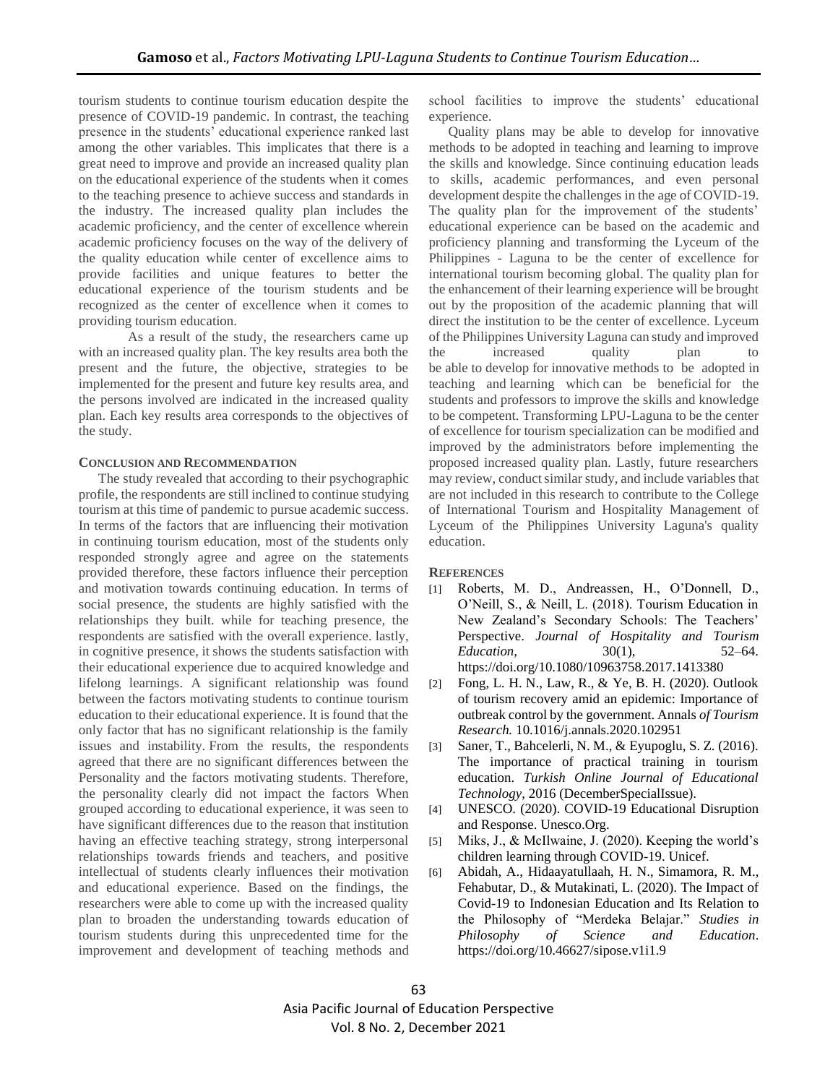tourism students to continue tourism education despite the presence of COVID-19 pandemic. In contrast, the teaching presence in the students' educational experience ranked last among the other variables. This implicates that there is a great need to improve and provide an increased quality plan on the educational experience of the students when it comes to the teaching presence to achieve success and standards in the industry. The increased quality plan includes the academic proficiency, and the center of excellence wherein academic proficiency focuses on the way of the delivery of the quality education while center of excellence aims to provide facilities and unique features to better the educational experience of the tourism students and be recognized as the center of excellence when it comes to providing tourism education.

As a result of the study, the researchers came up with an increased quality plan. The key results area both the present and the future, the objective, strategies to be implemented for the present and future key results area, and the persons involved are indicated in the increased quality plan. Each key results area corresponds to the objectives of the study.

#### **CONCLUSION AND RECOMMENDATION**

The study revealed that according to their psychographic profile, the respondents are still inclined to continue studying tourism at this time of pandemic to pursue academic success. In terms of the factors that are influencing their motivation in continuing tourism education, most of the students only responded strongly agree and agree on the statements provided therefore, these factors influence their perception and motivation towards continuing education. In terms of social presence, the students are highly satisfied with the relationships they built. while for teaching presence, the respondents are satisfied with the overall experience. lastly, in cognitive presence, it shows the students satisfaction with their educational experience due to acquired knowledge and lifelong learnings. A significant relationship was found between the factors motivating students to continue tourism education to their educational experience. It is found that the only factor that has no significant relationship is the family issues and instability. From the results, the respondents agreed that there are no significant differences between the Personality and the factors motivating students. Therefore, the personality clearly did not impact the factors When grouped according to educational experience, it was seen to have significant differences due to the reason that institution having an effective teaching strategy, strong interpersonal relationships towards friends and teachers, and positive intellectual of students clearly influences their motivation and educational experience. Based on the findings, the researchers were able to come up with the increased quality plan to broaden the understanding towards education of tourism students during this unprecedented time for the improvement and development of teaching methods and school facilities to improve the students' educational experience.

Quality plans may be able to develop for innovative methods to be adopted in teaching and learning to improve the skills and knowledge. Since continuing education leads to skills, academic performances, and even personal development despite the challenges in the age of COVID-19. The quality plan for the improvement of the students' educational experience can be based on the academic and proficiency planning and transforming the Lyceum of the Philippines - Laguna to be the center of excellence for international tourism becoming global. The quality plan for the enhancement of their learning experience will be brought out by the proposition of the academic planning that will direct the institution to be the center of excellence. Lyceum of the Philippines University Laguna can study and improved the increased quality plan to be able to develop for innovative methods to be adopted in teaching and learning which can be beneficial for the students and professors to improve the skills and knowledge to be competent. Transforming LPU-Laguna to be the center of excellence for tourism specialization can be modified and improved by the administrators before implementing the proposed increased quality plan. Lastly, future researchers may review, conduct similar study, and include variables that are not included in this research to contribute to the College of International Tourism and Hospitality Management of Lyceum of the Philippines University Laguna's quality education.

### **REFERENCES**

- [1] Roberts, M. D., Andreassen, H., O'Donnell, D., O'Neill, S., & Neill, L. (2018). Tourism Education in New Zealand's Secondary Schools: The Teachers' Perspective. *Journal of Hospitality and Tourism Education,* 30(1), 52–64. <https://doi.org/10.1080/10963758.2017.1413380>
- [2] Fong, L. H. N., Law, R., & Ye, B. H. (2020). Outlook of tourism recovery amid an epidemic: Importance of outbreak control by the government. Annals *of Tourism Research.* [10.1016/j.annals.2020.102951](https://doi.org/10.1016/j.annals.2020.102951)
- [3] Saner, T., Bahcelerli, N. M., & Eyupoglu, S. Z. (2016). The importance of practical training in tourism education. *Turkish Online Journal of Educational Technology*, 2016 (DecemberSpecialIssue).
- [4] UNESCO. (2020). COVID-19 Educational Disruption and Response. Unesco.Org.
- [5] Miks, J., & McIlwaine, J. (2020). Keeping the world's children learning through COVID-19. Unicef.
- [6] Abidah, A., Hidaayatullaah, H. N., Simamora, R. M., Fehabutar, D., & Mutakinati, L. (2020). The Impact of Covid-19 to Indonesian Education and Its Relation to the Philosophy of "Merdeka Belajar." *Studies in Philosophy of Science and Education*. <https://doi.org/10.46627/sipose.v1i1.9>